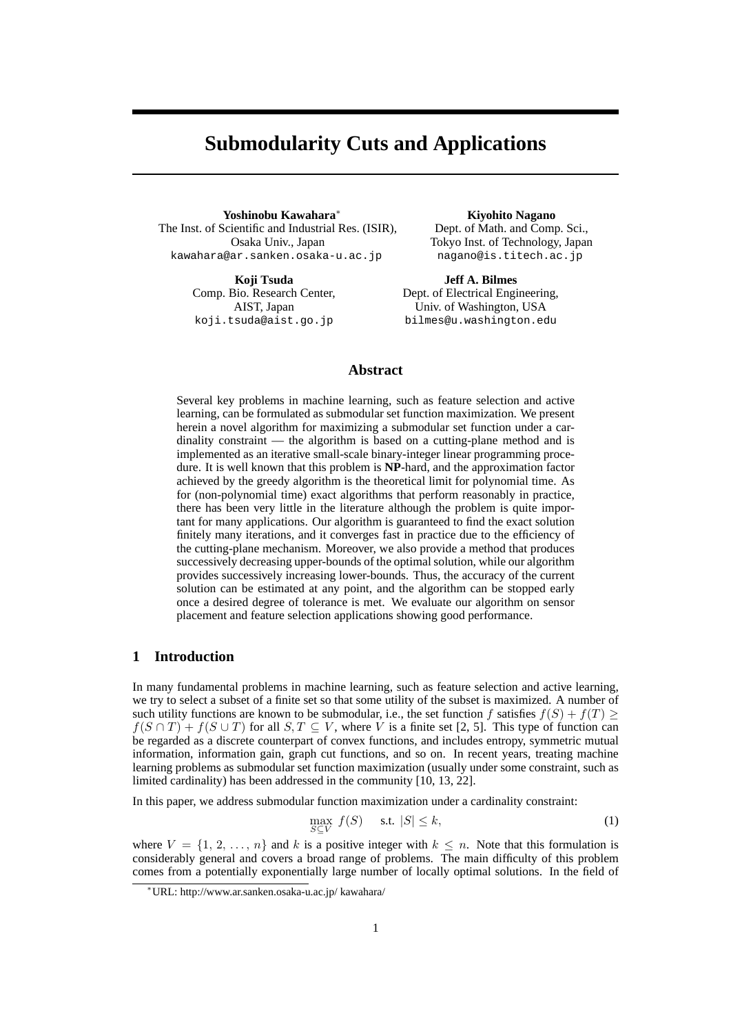# **Submodularity Cuts and Applications**

**Yoshinobu Kawahara***<sup>∗</sup>* The Inst. of Scientific and Industrial Res. (ISIR), Osaka Univ., Japan kawahara@ar.sanken.osaka-u.ac.jp

> **Koji Tsuda** Comp. Bio. Research Center, AIST, Japan koji.tsuda@aist.go.jp

**Kiyohito Nagano** Dept. of Math. and Comp. Sci., Tokyo Inst. of Technology, Japan nagano@is.titech.ac.jp

**Jeff A. Bilmes** Dept. of Electrical Engineering, Univ. of Washington, USA bilmes@u.washington.edu

# **Abstract**

Several key problems in machine learning, such as feature selection and active learning, can be formulated as submodular set function maximization. We present herein a novel algorithm for maximizing a submodular set function under a cardinality constraint — the algorithm is based on a cutting-plane method and is implemented as an iterative small-scale binary-integer linear programming procedure. It is well known that this problem is **NP**-hard, and the approximation factor achieved by the greedy algorithm is the theoretical limit for polynomial time. As for (non-polynomial time) exact algorithms that perform reasonably in practice, there has been very little in the literature although the problem is quite important for many applications. Our algorithm is guaranteed to find the exact solution finitely many iterations, and it converges fast in practice due to the efficiency of the cutting-plane mechanism. Moreover, we also provide a method that produces successively decreasing upper-bounds of the optimal solution, while our algorithm provides successively increasing lower-bounds. Thus, the accuracy of the current solution can be estimated at any point, and the algorithm can be stopped early once a desired degree of tolerance is met. We evaluate our algorithm on sensor placement and feature selection applications showing good performance.

# **1 Introduction**

In many fundamental problems in machine learning, such as feature selection and active learning, we try to select a subset of a finite set so that some utility of the subset is maximized. A number of such utility functions are known to be submodular, i.e., the set function *f* satisfies  $f(S) + f(T) \geq$  $f(S \cap T) + f(S \cup T)$  for all  $S, T \subseteq V$ , where V is a finite set [2, 5]. This type of function can be regarded as a discrete counterpart of convex functions, and includes entropy, symmetric mutual information, information gain, graph cut functions, and so on. In recent years, treating machine learning problems as submodular set function maximization (usually under some constraint, such as limited cardinality) has been addressed in the community [10, 13, 22].

In this paper, we address submodular function maximization under a cardinality constraint:

$$
\max_{S \subseteq V} f(S) \quad \text{s.t. } |S| \le k,\tag{1}
$$

where  $V = \{1, 2, \ldots, n\}$  and *k* is a positive integer with  $k \leq n$ . Note that this formulation is considerably general and covers a broad range of problems. The main difficulty of this problem comes from a potentially exponentially large number of locally optimal solutions. In the field of

*<sup>∗</sup>*URL: http://www.ar.sanken.osaka-u.ac.jp/ kawahara/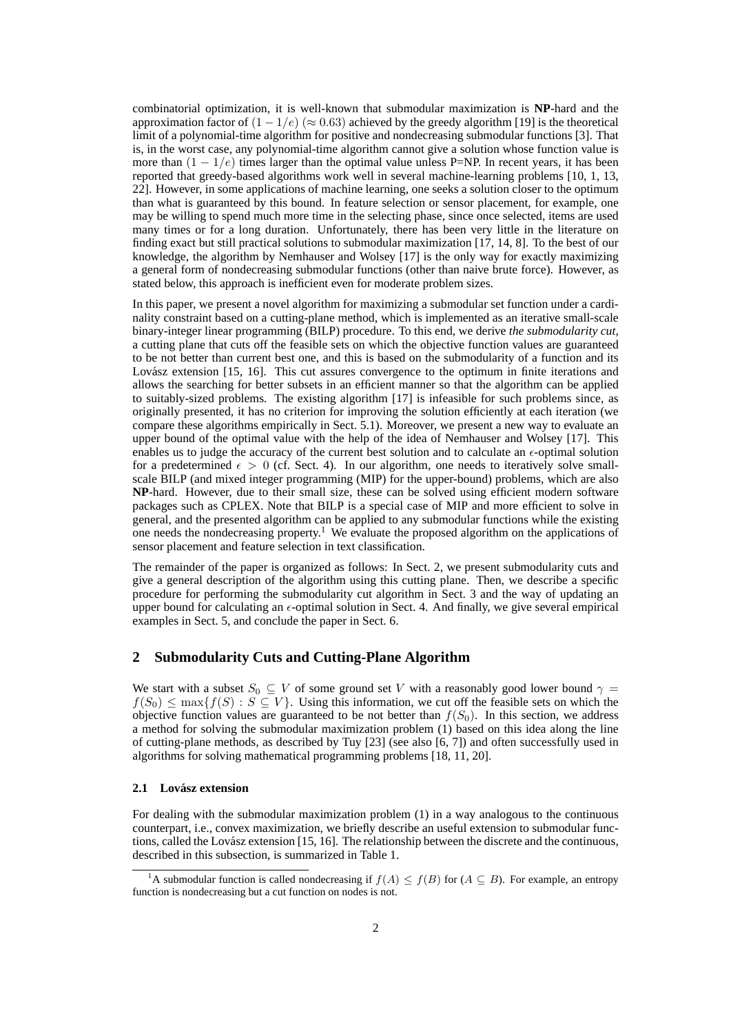combinatorial optimization, it is well-known that submodular maximization is **NP**-hard and the approximation factor of (1 *−* 1*/e*) (*≈* 0*.*63) achieved by the greedy algorithm [19] is the theoretical limit of a polynomial-time algorithm for positive and nondecreasing submodular functions [3]. That is, in the worst case, any polynomial-time algorithm cannot give a solution whose function value is more than  $(1 - 1/e)$  times larger than the optimal value unless P=NP. In recent years, it has been reported that greedy-based algorithms work well in several machine-learning problems [10, 1, 13, 22]. However, in some applications of machine learning, one seeks a solution closer to the optimum than what is guaranteed by this bound. In feature selection or sensor placement, for example, one may be willing to spend much more time in the selecting phase, since once selected, items are used many times or for a long duration. Unfortunately, there has been very little in the literature on finding exact but still practical solutions to submodular maximization [17, 14, 8]. To the best of our knowledge, the algorithm by Nemhauser and Wolsey [17] is the only way for exactly maximizing a general form of nondecreasing submodular functions (other than naive brute force). However, as stated below, this approach is inefficient even for moderate problem sizes.

In this paper, we present a novel algorithm for maximizing a submodular set function under a cardinality constraint based on a cutting-plane method, which is implemented as an iterative small-scale binary-integer linear programming (BILP) procedure. To this end, we derive *the submodularity cut*, a cutting plane that cuts off the feasible sets on which the objective function values are guaranteed to be not better than current best one, and this is based on the submodularity of a function and its Lovász extension [15, 16]. This cut assures convergence to the optimum in finite iterations and allows the searching for better subsets in an efficient manner so that the algorithm can be applied to suitably-sized problems. The existing algorithm [17] is infeasible for such problems since, as originally presented, it has no criterion for improving the solution efficiently at each iteration (we compare these algorithms empirically in Sect. 5.1). Moreover, we present a new way to evaluate an upper bound of the optimal value with the help of the idea of Nemhauser and Wolsey [17]. This enables us to judge the accuracy of the current best solution and to calculate an  $\epsilon$ -optimal solution for a predetermined  $\epsilon > 0$  (cf. Sect. 4). In our algorithm, one needs to iteratively solve smallscale BILP (and mixed integer programming (MIP) for the upper-bound) problems, which are also **NP**-hard. However, due to their small size, these can be solved using efficient modern software packages such as CPLEX. Note that BILP is a special case of MIP and more efficient to solve in general, and the presented algorithm can be applied to any submodular functions while the existing one needs the nondecreasing property.<sup>1</sup> We evaluate the proposed algorithm on the applications of sensor placement and feature selection in text classification.

The remainder of the paper is organized as follows: In Sect. 2, we present submodularity cuts and give a general description of the algorithm using this cutting plane. Then, we describe a specific procedure for performing the submodularity cut algorithm in Sect. 3 and the way of updating an upper bound for calculating an  $\epsilon$ -optimal solution in Sect. 4. And finally, we give several empirical examples in Sect. 5, and conclude the paper in Sect. 6.

## **2 Submodularity Cuts and Cutting-Plane Algorithm**

We start with a subset  $S_0 \subseteq V$  of some ground set *V* with a reasonably good lower bound  $\gamma =$  $f(S_0) \leq \max\{f(S): S \subseteq V\}$ . Using this information, we cut off the feasible sets on which the objective function values are guaranteed to be not better than  $f(S_0)$ . In this section, we address a method for solving the submodular maximization problem (1) based on this idea along the line of cutting-plane methods, as described by Tuy [23] (see also [6, 7]) and often successfully used in algorithms for solving mathematical programming problems [18, 11, 20].

#### **2.1 Lovasz extension ´**

For dealing with the submodular maximization problem (1) in a way analogous to the continuous counterpart, i.e., convex maximization, we briefly describe an useful extension to submodular functions, called the Lovász extension [15, 16]. The relationship between the discrete and the continuous, described in this subsection, is summarized in Table 1.

<sup>&</sup>lt;sup>1</sup>A submodular function is called nondecreasing if  $f(A) \leq f(B)$  for  $(A \subseteq B)$ . For example, an entropy function is nondecreasing but a cut function on nodes is not.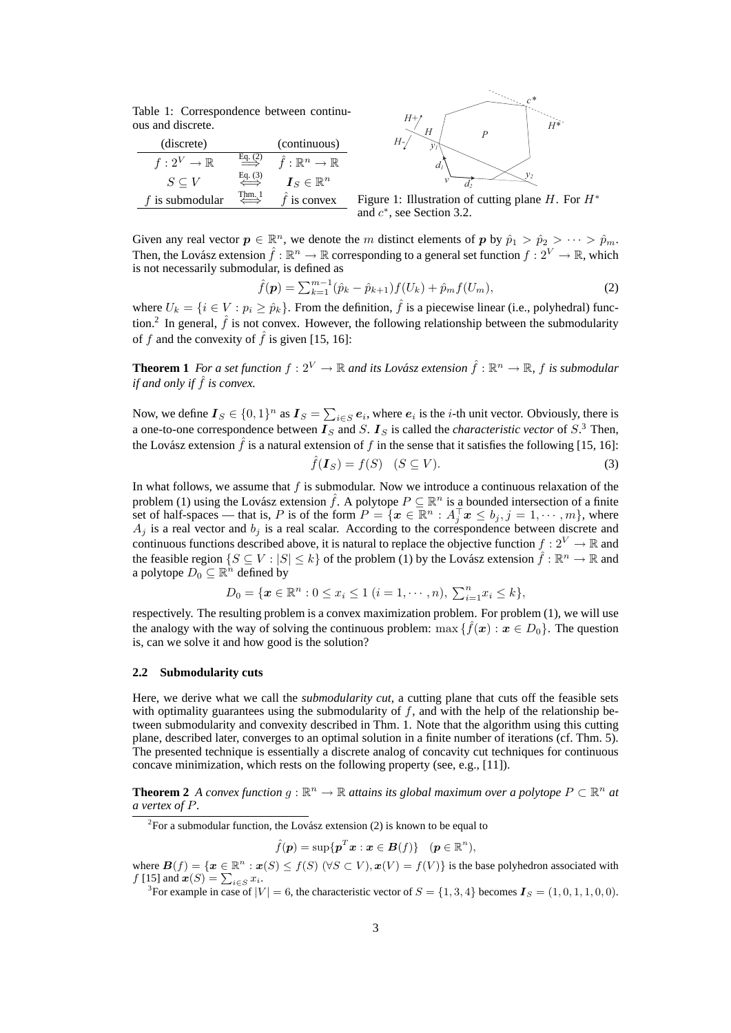Table 1: Correspondence between continuous and discrete.

| (discrete)              |         | (continuous)                  |
|-------------------------|---------|-------------------------------|
| $f: 2^V \to \mathbb{R}$ |         | $f:\mathbb{R}^n\to\mathbb{R}$ |
| $S \subseteq V$         | Eq. (3) | $\bm{I}_S \in \mathbb{R}^n$   |
| f is submodular         | Thm. 1  | $\hat{f}$ is convex           |



Figure 1: Illustration of cutting plane *H*. For *H<sup>∗</sup>* and *c ∗* , see Section 3.2.

Given any real vector  $p \in \mathbb{R}^n$ , we denote the *m* distinct elements of *p* by  $\hat{p}_1 > \hat{p}_2 > \cdots > \hat{p}_m$ . Then, the Lovász extension  $\hat{f} : \mathbb{R}^n \to \mathbb{R}$  corresponding to a general set function  $f : 2^V \to \mathbb{R}$ , which is not necessarily submodular, is defined as

$$
\hat{f}(\mathbf{p}) = \sum_{k=1}^{m-1} (\hat{p}_k - \hat{p}_{k+1}) f(U_k) + \hat{p}_m f(U_m),
$$
\n(2)

where  $U_k = \{i \in V : p_i \ge \hat{p}_k\}$ . From the definition,  $\hat{f}$  is a piecewise linear (i.e., polyhedral) function.<sup>2</sup> In general,  $\hat{f}$  is not convex. However, the following relationship between the submodularity of *f* and the convexity of  $\hat{f}$  is given [15, 16]:

**Theorem 1** For a set function  $f: 2^V \to \mathbb{R}$  and its Lovász extension  $\hat{f}: \mathbb{R}^n \to \mathbb{R}$ ,  $f$  is submodular *if and only if*  $\hat{f}$  *is convex.* 

Now, we define  $I_S \in \{0,1\}^n$  as  $I_S = \sum_{i \in S} e_i$ , where  $e_i$  is the *i*-th unit vector. Obviously, there is a one-to-one correspondence between  $\mathbf{I}_S$  and  $S$ .  $\mathbf{I}_S$  is called the *characteristic vector* of  $S^3$ . Then, the Lovász extension  $\hat{f}$  is a natural extension of  $f$  in the sense that it satisfies the following [15, 16]:

$$
\hat{f}(\boldsymbol{I}_S) = f(S) \quad (S \subseteq V). \tag{3}
$$

In what follows, we assume that *f* is submodular. Now we introduce a continuous relaxation of the problem (1) using the Lovász extension  $\hat{f}$ . A polytope  $P \subseteq \mathbb{R}^n$  is a bounded intersection of a finite set of half-spaces — that is, P is of the form  $P = \{x \in \mathbb{R}^n : A_j^\top x \le b_j, j = 1, \dots, m\}$ , where  $A_i$  is a real vector and  $b_i$  is a real scalar. According to the correspondence between discrete and continuous functions described above, it is natural to replace the objective function  $f: 2^V \to \mathbb{R}$  and the feasible region  $\{S \subseteq V : |S| \le k\}$  of the problem (1) by the Lovász extension  $\hat{f} : \mathbb{R}^n \to \mathbb{R}$  and a polytope  $D_0 \subseteq \mathbb{R}^n$  defined by

$$
D_0 = \{ \pmb{x} \in \mathbb{R}^n : 0 \le x_i \le 1 \ (i = 1, \cdots, n), \ \sum_{i=1}^n x_i \le k \},\
$$

respectively. The resulting problem is a convex maximization problem. For problem (1), we will use the analogy with the way of solving the continuous problem:  $\max \{ \hat{f}(\boldsymbol{x}) : \boldsymbol{x} \in D_0 \}$ . The question is, can we solve it and how good is the solution?

#### **2.2 Submodularity cuts**

Here, we derive what we call the *submodularity cut*, a cutting plane that cuts off the feasible sets with optimality guarantees using the submodularity of f, and with the help of the relationship between submodularity and convexity described in Thm. 1. Note that the algorithm using this cutting plane, described later, converges to an optimal solution in a finite number of iterations (cf. Thm. 5). The presented technique is essentially a discrete analog of concavity cut techniques for continuous concave minimization, which rests on the following property (see, e.g., [11]).

**Theorem 2** *A convex function*  $g : \mathbb{R}^n \to \mathbb{R}$  *attains its global maximum over a polytope*  $P \subset \mathbb{R}^n$  *at a vertex of P.*

<sup>2</sup>For a submodular function, the Lovász extension  $(2)$  is known to be equal to

$$
\hat{f}(\boldsymbol{p}) = \sup \{ \boldsymbol{p}^T \boldsymbol{x} : \boldsymbol{x} \in \boldsymbol{B}(f) \} \quad (\boldsymbol{p} \in \mathbb{R}^n),
$$

where  $B(f) = \{x \in \mathbb{R}^n : x(S) \le f(S) \ (\forall S \subset V), x(V) = f(V)\}$  is the base polyhedron associated with  $f(15)$  and  $x(S) = \sum_{x \in V} x(S)$ *f* [15] and  $x(S) = \sum_{i \in S} x_i$ .

<sup>3</sup>For example in case of  $|V| = 6$ , the characteristic vector of  $S = \{1, 3, 4\}$  becomes  $\boldsymbol{I}_S = (1, 0, 1, 1, 0, 0)$ .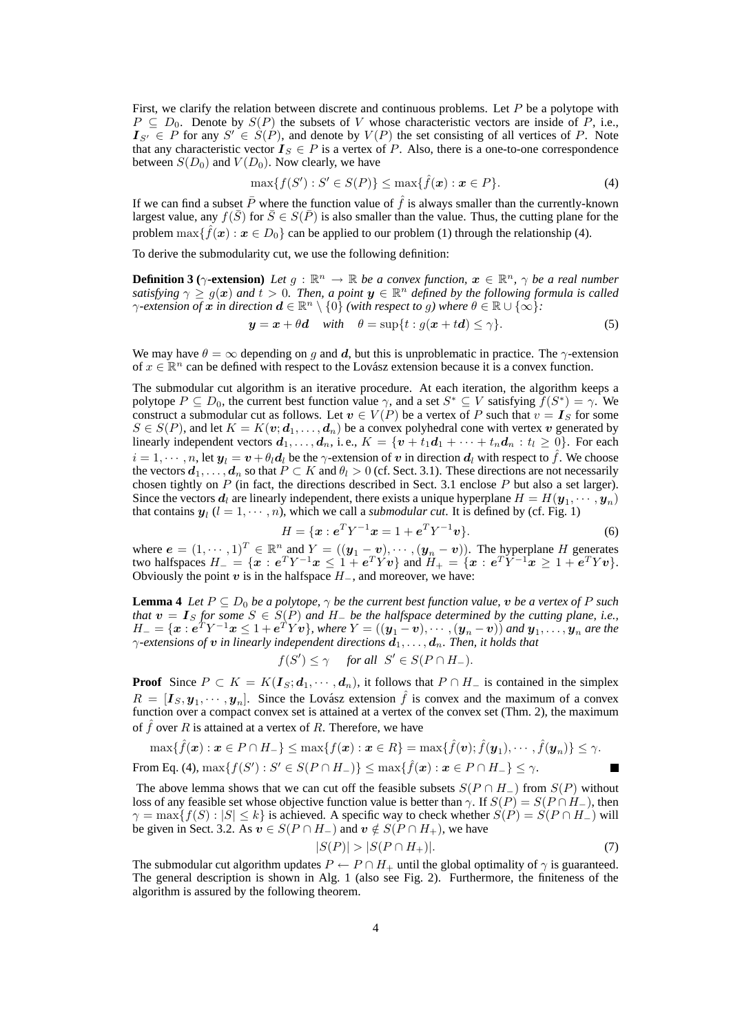First, we clarify the relation between discrete and continuous problems. Let *P* be a polytope with  $P \subseteq D_0$ . Denote by  $S(P)$  the subsets of *V* whose characteristic vectors are inside of *P*, i.e.,  $I_{S'} \in P$  for any  $S' \in S(P)$ , and denote by  $V(P)$  the set consisting of all vertices of *P*. Note that any characteristic vector  $I_S \in P$  is a vertex of *P*. Also, there is a one-to-one correspondence between  $S(D_0)$  and  $V(D_0)$ . Now clearly, we have

$$
\max\{f(S'): S' \in S(P)\} \le \max\{\hat{f}(\bm{x}) : \bm{x} \in P\}.
$$
 (4)

If we can find a subset  $\bar{P}$  where the function value of  $\hat{f}$  is always smaller than the currently-known largest value, any  $f(\bar{S})$  for  $\bar{S} \in S(\bar{P})$  is also smaller than the value. Thus, the cutting plane for the problem  $\max\{\hat{f}(\bm{x}): \bm{x} \in D_0\}$  can be applied to our problem (1) through the relationship (4).

To derive the submodularity cut, we use the following definition:

**Definition 3** ( $\gamma$ -extension) Let  $g : \mathbb{R}^n \to \mathbb{R}$  be a convex function,  $x \in \mathbb{R}^n$ ,  $\gamma$  be a real number *satisfying*  $\gamma \ge g(x)$  *and*  $t > 0$ . Then, a point  $y \in \mathbb{R}^n$  defined by the following formula is called *γ*-extension of  $x$  in direction  $d \in \mathbb{R}^n \setminus \{0\}$  (with respect to  $g$ ) where  $\theta \in \mathbb{R} \cup \{ \infty \}$ :

 $y = x + \theta d$  *with*  $\theta = \sup\{t : g(x + td) \leq \gamma\}$ . (5)

We may have  $\theta = \infty$  depending on *g* and *d*, but this is unproblematic in practice. The *γ*-extension of  $x \in \mathbb{R}^n$  can be defined with respect to the Lovász extension because it is a convex function.

The submodular cut algorithm is an iterative procedure. At each iteration, the algorithm keeps a polytope  $P \subseteq D_0$ , the current best function value  $\gamma$ , and a set  $S^* \subseteq V$  satisfying  $f(S^*) = \gamma$ . We construct a submodular cut as follows. Let  $v \in V(P)$  be a vertex of *P* such that  $v = I_S$  for some  $S \in S(P)$ , and let  $K = K(\mathbf{v}; \mathbf{d}_1, \dots, \mathbf{d}_n)$  be a convex polyhedral cone with vertex *v* generated by linearly independent vectors  $d_1, \ldots, d_n$ , i.e.,  $K = \{v + t_1d_1 + \cdots + t_nd_n : t_i \geq 0\}$ . For each  $i = 1, \dots, n$ , let  $y_l = v + \theta_l d_l$  be the *γ*-extension of *v* in direction  $d_l$  with respect to  $\hat{f}$ . We choose the vectors  $d_1, \ldots, d_n$  so that  $P \subset K$  and  $\theta_l > 0$  (cf. Sect. 3.1). These directions are not necessarily chosen tightly on *P* (in fact, the directions described in Sect. 3.1 enclose *P* but also a set larger). Since the vectors  $d_l$  are linearly independent, there exists a unique hyperplane  $H = H(\mathbf{y}_1, \dots, \mathbf{y}_n)$ that contains  $y_l$  ( $l = 1, \dots, n$ ), which we call a *submodular cut*. It is defined by (cf. Fig. 1)

$$
H = \{ \boldsymbol{x} : \boldsymbol{e}^T Y^{-1} \boldsymbol{x} = 1 + \boldsymbol{e}^T Y^{-1} \boldsymbol{v} \}.
$$
 (6)

where  $e = (1, \dots, 1)^T \in \mathbb{R}^n$  and  $Y = ((y_1 - v), \dots, (y_n - v))$ . The hyperplane H generates two halfspaces  $H_- = \{x : e^T Y^{-1} x \leq 1 + e^T Y v\}$  and  $H_+ = \{x : e^T Y^{-1} x \geq 1 + e^T Y v\}.$ Obviously the point  $v$  is in the halfspace  $H_$ <sub>−</sub>, and moreover, we have:

**Lemma 4** *Let P ⊆ D*<sup>0</sup> *be a polytope, γ be the current best function value, v be a vertex of P such that v* = *I<sup>S</sup> for some S ∈ S*(*P*) *and H<sup>−</sup> be the halfspace determined by the cutting plane, i.e.,*  $H_{-}=\{\bm{x}: \bm{e}^TY^{-1}\bm{x}\leq 1+\bm{e}^TY\bm{v}\},$  where  $Y=((\bm{y}_1-\bm{v}),\cdots,(\bm{y}_n-\bm{v}))$  and  $\bm{y}_1,\ldots,\bm{y}_n$  are the *γ-extensions of v in linearly independent directions d*1*, . . . , dn. Then, it holds that*

$$
f(S') \le \gamma \quad \text{ for all } S' \in S(P \cap H_-).
$$

**Proof** Since  $P \subset K = K(I_S; d_1, \dots, d_n)$ , it follows that  $P \cap H_{-}$  is contained in the simplex  $R = [\mathbf{I}_S, \mathbf{y}_1, \cdots, \mathbf{y}_n]$ . Since the Lovász extension  $\hat{f}$  is convex and the maximum of a convex function over a compact convex set is attained at a vertex of the convex set (Thm. 2), the maximum of  $\hat{f}$  over  $R$  is attained at a vertex of  $R$ . Therefore, we have

$$
\max{\{\hat{f}(\boldsymbol{x}): \boldsymbol{x}\in P\cap H_{-}\}} \leq \max{\{f(\boldsymbol{x}): \boldsymbol{x}\in R\}} = \max{\{\hat{f}(\boldsymbol{v}); \hat{f}(\boldsymbol{y}_1), \cdots, \hat{f}(\boldsymbol{y}_n)\}} \leq \gamma.
$$

From Eq. (4),  $\max\{f(S'): S' \in S(P \cap H_-)\} \leq \max\{\hat{f}(\boldsymbol{x}): \boldsymbol{x} \in P \cap H_-\} \leq \gamma.$ 

The above lemma shows that we can cut off the feasible subsets  $S(P \cap H_{-})$  from  $S(P)$  without loss of any feasible set whose objective function value is better than *γ*. If  $S(P) = S(P \cap H_{-})$ , then  $\gamma = \max\{f(S) : |S| \le k\}$  is achieved. A specific way to check whether  $S(P) = S(P \cap H)$  will be given in Sect. 3.2. As  $v \in S(P \cap H_{-})$  and  $v \notin S(P \cap H_{+})$ , we have

$$
|S(P)| > |S(P \cap H_+)|. \tag{7}
$$

The submodular cut algorithm updates  $P \leftarrow P \cap H_+$  until the global optimality of  $\gamma$  is guaranteed. The general description is shown in Alg. 1 (also see Fig. 2). Furthermore, the finiteness of the algorithm is assured by the following theorem.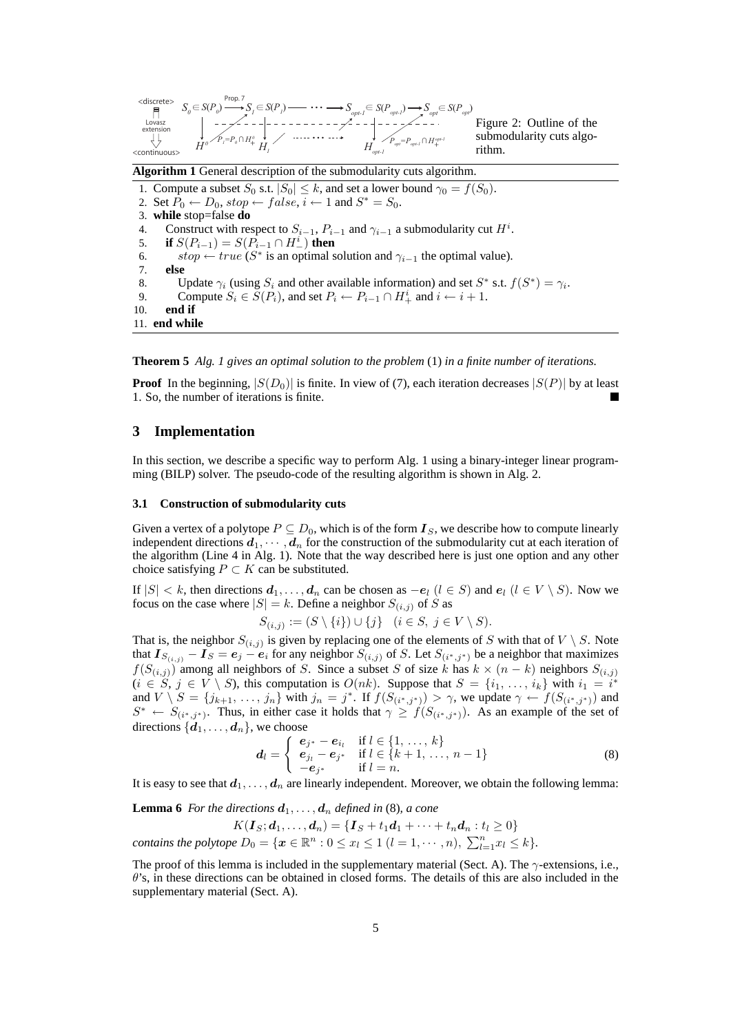

**Algorithm 1** General description of the submodularity cuts algorithm.

1. Compute a subset  $S_0$  s.t.  $|S_0| \leq k$ , and set a lower bound  $\gamma_0 = f(S_0)$ .

- 2. Set  $\overline{P}_0 \leftarrow D_0$ ,  $stop \leftarrow false$ ,  $i \leftarrow 1$  and  $S^* = S_0$ .
- 3. **while** stop=false **do**
- 4. Construct with respect to  $S_{i-1}$ ,  $P_{i-1}$  and  $\gamma_{i-1}$  a submodularity cut  $H^i$ .
- 5. **if**  $S(P_{i-1}) = S(P_{i-1} \cap H_{-}^{i})$  then
- 6. *stop*  $\leftarrow$  *true* (*S*<sup>\*</sup> is an optimal solution and  $\gamma_{i-1}$  the optimal value).
- 7. **else**
- 8. Update  $\gamma_i$  (using  $S_i$  and other available information) and set  $S^*$  s.t.  $f(S^*) = \gamma_i$ .
- 9. Compute  $S_i \in \overline{S}(P_i)$ , and set  $P_i \leftarrow P_{i-1} \cap H_+^i$  and  $i \leftarrow i+1$ .
- 10. **end if** 11. **end while**

**Theorem 5** *Alg. 1 gives an optimal solution to the problem* (1) *in a finite number of iterations.*

**Proof** In the beginning,  $|S(D_0)|$  is finite. In view of (7), each iteration decreases  $|S(P)|$  by at least 1. So, the number of iterations is finite.

## **3 Implementation**

In this section, we describe a specific way to perform Alg. 1 using a binary-integer linear programming (BILP) solver. The pseudo-code of the resulting algorithm is shown in Alg. 2.

#### **3.1 Construction of submodularity cuts**

Given a vertex of a polytope  $P \subseteq D_0$ , which is of the form  $\mathbf{I}_S$ , we describe how to compute linearly independent directions  $d_1, \dots, d_n$  for the construction of the submodularity cut at each iteration of the algorithm (Line 4 in Alg. 1). Note that the way described here is just one option and any other choice satisfying  $P \subset K$  can be substituted.

If  $|S| < k$ , then directions  $d_1, \ldots, d_n$  can be chosen as  $-e_l$   $(l \in S)$  and  $e_l$   $(l \in V \setminus S)$ . Now we focus on the case where  $|S| = k$ . Define a neighbor  $S_{(i,j)}$  of  $\hat{S}$  as

$$
S_{(i,j)} := (S \setminus \{i\}) \cup \{j\} \quad (i \in S, j \in V \setminus S).
$$

That is, the neighbor  $S_{(i,j)}$  is given by replacing one of the elements of *S* with that of  $V \setminus S$ . Note that  $I_{S(i,j)} - I_S = e_j - e_i$  for any neighbor  $S(i,j)$  of S. Let  $S(i^*, j^*)$  be a neighbor that maximizes  $f(S(i,j))$  among all neighbors of *S*. Since a subset *S* of size *k* has  $k \times (n-k)$  neighbors  $S(i,j)$  $(i \in S, j \in V \setminus S)$ , this computation is  $O(nk)$ . Suppose that  $S = \{i_1, \ldots, i_k\}$  with  $i_1 = i^*$ and  $V \setminus S = \{j_{k+1}, \ldots, j_n\}$  with  $j_n = j^*$ . If  $f(S_{(i^*,j^*)}) > \gamma$ , we update  $\gamma \leftarrow f(S_{(i^*,j^*)})$  and  $S^*$  *←*  $S_{(i^*,j^*)}$ . Thus, in either case it holds that  $\gamma \geq f(S_{(i^*,j^*)})$ . As an example of the set of directions  $\{d_1, \ldots, d_n\}$ , we choose

$$
\mathbf{d}_{l} = \begin{cases} \mathbf{e}_{j^{*}} - \mathbf{e}_{i_{l}} & \text{if } l \in \{1, ..., k\} \\ \mathbf{e}_{j_{l}} - \mathbf{e}_{j^{*}} & \text{if } l \in \{k+1, ..., n-1\} \\ -\mathbf{e}_{j^{*}} & \text{if } l = n. \end{cases}
$$
(8)

It is easy to see that  $d_1, \ldots, d_n$  are linearly independent. Moreover, we obtain the following lemma:

**Lemma 6** *For the directions*  $d_1, \ldots, d_n$  *defined in* (8)*, a cone* 

 $K(I_S; d_1, \ldots, d_n) = \{I_S + t_1d_1 + \cdots + t_nd_n : t_l \geq 0\}$ contains the polytope  $D_0 = \{ \mathbf{x} \in \mathbb{R}^n : 0 \leq x_l \leq 1 \ (l = 1, \cdots, n), \ \sum_{l=1}^n x_l \leq k \}.$ 

The proof of this lemma is included in the supplementary material (Sect. A). The *γ*-extensions, i.e., *θ*'s, in these directions can be obtained in closed forms. The details of this are also included in the supplementary material (Sect. A).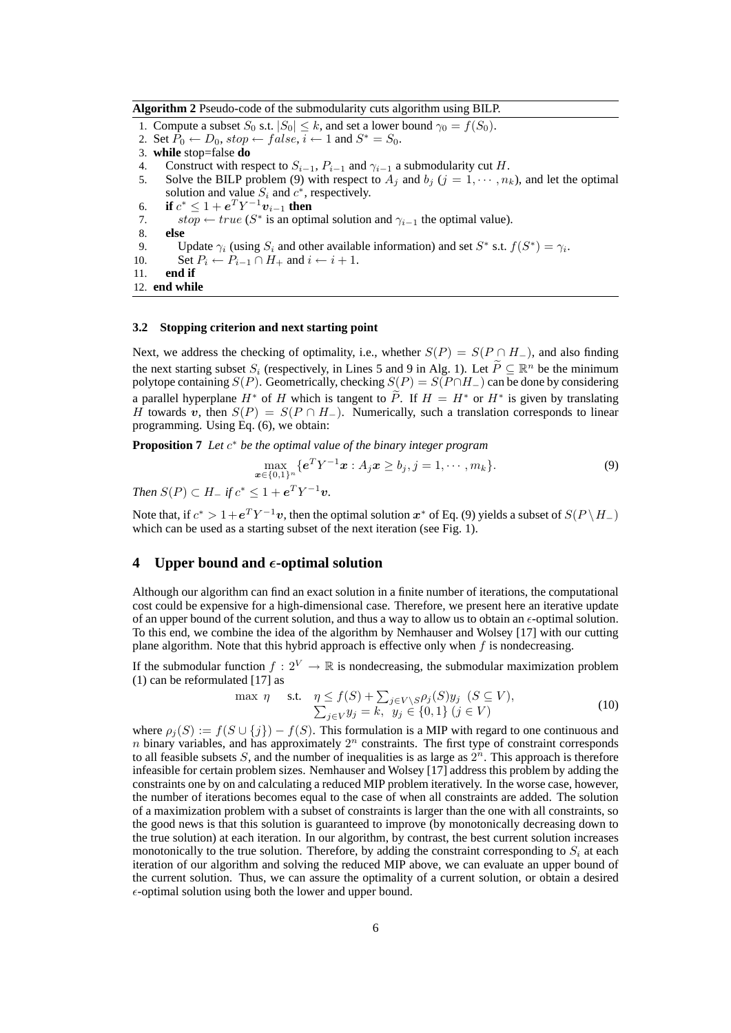**Algorithm 2** Pseudo-code of the submodularity cuts algorithm using BILP.

- 1. Compute a subset  $S_0$  s.t.  $|S_0| \leq k$ , and set a lower bound  $\gamma_0 = f(S_0)$ .
- 2. Set  $\overline{P}_0 \leftarrow D_0$ ,  $stop \leftarrow false$ ,  $i \leftarrow 1$  and  $S^* = S_0$ .
- 3. **while** stop=false **do**
- 4. Construct with respect to  $S_{i-1}$ ,  $P_{i-1}$  and  $\gamma_{i-1}$  a submodularity cut *H*.<br>5. Solve the BILP problem (9) with respect to  $A_i$  and  $b_i$  ( $i = 1, \dots, n_i$
- Solve the BILP problem (9) with respect to  $A_j$  and  $b_j$  ( $j = 1, \dots, n_k$ ), and let the optimal solution and value  $S_i$  and  $c^*$ , respectively.
- 6. **if**  $c^* \leq 1 + e^T Y^{-1} v_{i-1}$  then
- 7. *stop*  $\leftarrow$  *true* (*S*<sup>\*</sup> is an optimal solution and  $\gamma_{i-1}$  the optimal value).
- 8. **else**
- 9. Update  $\gamma_i$  (using  $S_i$  and other available information) and set  $S^*$  s.t.  $f(S^*) = \gamma_i$ .
- 10. Set  $P_i \leftarrow P_{i-1} \cap H_+$  and  $i \leftarrow i+1$ .
- 11. **end if**

```
12. end while
```
## **3.2 Stopping criterion and next starting point**

Next, we address the checking of optimality, i.e., whether  $S(P) = S(P \cap H_{-})$ , and also finding the next starting subset  $S_i$  (respectively, in Lines 5 and 9 in Alg. 1). Let  $\tilde{P} \subseteq \mathbb{R}^n$  be the minimum polytope containing *S*(*P*). Geometrically, checking  $S(P) = S(P \cap H -)$  can be done by considering a parallel hyperplane  $H^*$  of *H* which is tangent to *P*. If  $H = H^*$  or  $H^*$  is given by translating *H* towards *v*, then  $S(P) = S(P \cap H_{-})$ . Numerically, such a translation corresponds to linear programming. Using Eq. (6), we obtain:

**Proposition 7** *Let c <sup>∗</sup> be the optimal value of the binary integer program*

$$
\max_{\mathbf{x}\in\{0,1\}^n} \{e^T Y^{-1} \mathbf{x} : A_j \mathbf{x} \ge b_j, j = 1, \cdots, m_k\}.
$$
\n(9)

*Then*  $S(P) \subset H_+$  *if*  $c^* \leq 1 + e^T Y^{-1} v$ .

Note that, if  $c^* > 1 + e^T Y^{-1} v$ , then the optimal solution  $x^*$  of Eq. (9) yields a subset of  $S(P \setminus H_{-})$ which can be used as a starting subset of the next iteration (see Fig. 1).

## **4** Upper bound and  $\epsilon$ -optimal solution

Although our algorithm can find an exact solution in a finite number of iterations, the computational cost could be expensive for a high-dimensional case. Therefore, we present here an iterative update of an upper bound of the current solution, and thus a way to allow us to obtain an  $\epsilon$ -optimal solution. To this end, we combine the idea of the algorithm by Nemhauser and Wolsey [17] with our cutting plane algorithm. Note that this hybrid approach is effective only when *f* is nondecreasing.

If the submodular function  $f: 2^V \to \mathbb{R}$  is nondecreasing, the submodular maximization problem (1) can be reformulated [17] as

$$
\max \eta \quad \text{s.t.} \quad \eta \le f(S) + \sum_{j \in V \setminus S} \rho_j(S) y_j \quad (S \subseteq V),
$$
  

$$
\sum_{j \in V} y_j = k, \quad y_j \in \{0, 1\} \quad (j \in V)
$$
 (10)

where  $\rho_j(S) := f(S \cup \{j\}) - f(S)$ . This formulation is a MIP with regard to one continuous and  $n$  binary variables, and has approximately  $2^n$  constraints. The first type of constraint corresponds to all feasible subsets  $S$ , and the number of inequalities is as large as  $2<sup>n</sup>$ . This approach is therefore infeasible for certain problem sizes. Nemhauser and Wolsey [17] address this problem by adding the constraints one by on and calculating a reduced MIP problem iteratively. In the worse case, however, the number of iterations becomes equal to the case of when all constraints are added. The solution of a maximization problem with a subset of constraints is larger than the one with all constraints, so the good news is that this solution is guaranteed to improve (by monotonically decreasing down to the true solution) at each iteration. In our algorithm, by contrast, the best current solution increases monotonically to the true solution. Therefore, by adding the constraint corresponding to *S<sup>i</sup>* at each iteration of our algorithm and solving the reduced MIP above, we can evaluate an upper bound of the current solution. Thus, we can assure the optimality of a current solution, or obtain a desired  $\epsilon$ -optimal solution using both the lower and upper bound.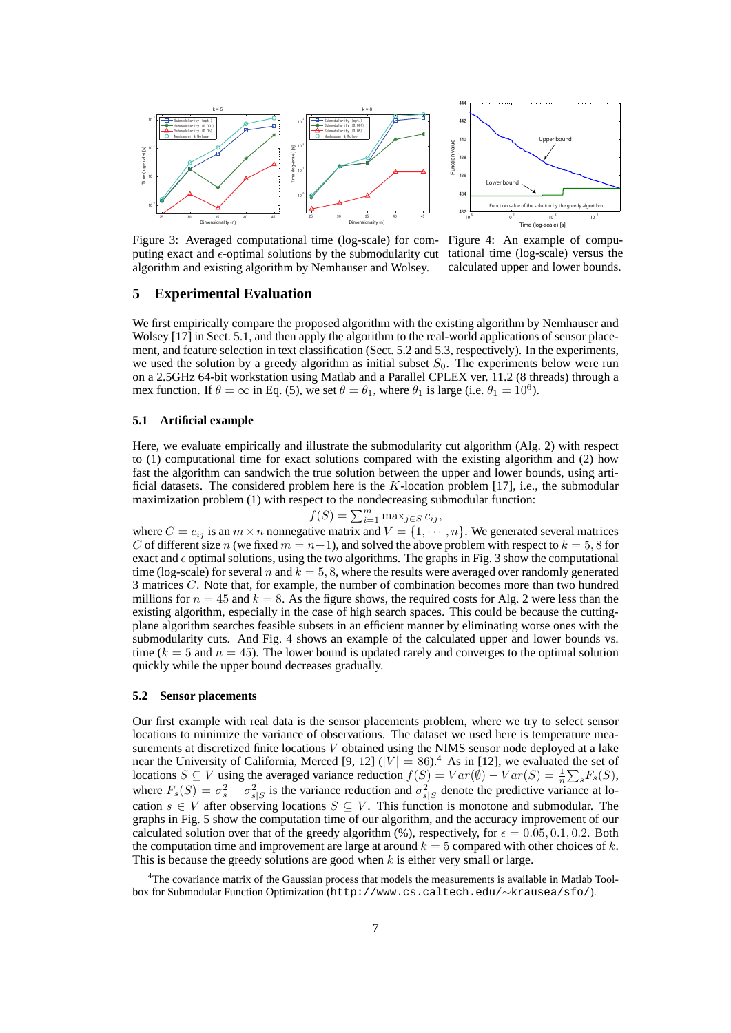



Figure 3: Averaged computational time (log-scale) for computing exact and  $\epsilon$ -optimal solutions by the submodularity cut algorithm and existing algorithm by Nemhauser and Wolsey.

Figure 4: An example of computational time (log-scale) versus the calculated upper and lower bounds.

### **5 Experimental Evaluation**

We first empirically compare the proposed algorithm with the existing algorithm by Nemhauser and Wolsey [17] in Sect. 5.1, and then apply the algorithm to the real-world applications of sensor placement, and feature selection in text classification (Sect. 5.2 and 5.3, respectively). In the experiments, we used the solution by a greedy algorithm as initial subset  $S_0$ . The experiments below were run on a 2.5GHz 64-bit workstation using Matlab and a Parallel CPLEX ver. 11.2 (8 threads) through a mex function. If  $\theta = \infty$  in Eq. (5), we set  $\theta = \theta_1$ , where  $\theta_1$  is large (i.e.  $\theta_1 = 10^6$ ).

#### **5.1 Artificial example**

Here, we evaluate empirically and illustrate the submodularity cut algorithm (Alg. 2) with respect to (1) computational time for exact solutions compared with the existing algorithm and (2) how fast the algorithm can sandwich the true solution between the upper and lower bounds, using artificial datasets. The considered problem here is the *K*-location problem [17], i.e., the submodular maximization problem (1) with respect to the nondecreasing submodular function:

$$
f(S) = \sum_{i=1}^{m} \max_{j \in S} c_{ij},
$$

where  $C = c_{ij}$  is an  $m \times n$  nonnegative matrix and  $V = \{1, \dots, n\}$ . We generated several matrices *C* of different size *n* (we fixed  $m = n+1$ ), and solved the above problem with respect to  $k = 5, 8$  for exact and  $\epsilon$  optimal solutions, using the two algorithms. The graphs in Fig. 3 show the computational time (log-scale) for several *n* and  $k = 5, 8$ , where the results were averaged over randomly generated 3 matrices *C*. Note that, for example, the number of combination becomes more than two hundred millions for  $n = 45$  and  $k = 8$ . As the figure shows, the required costs for Alg. 2 were less than the existing algorithm, especially in the case of high search spaces. This could be because the cuttingplane algorithm searches feasible subsets in an efficient manner by eliminating worse ones with the submodularity cuts. And Fig. 4 shows an example of the calculated upper and lower bounds vs. time  $(k = 5$  and  $n = 45$ ). The lower bound is updated rarely and converges to the optimal solution quickly while the upper bound decreases gradually.

#### **5.2 Sensor placements**

Our first example with real data is the sensor placements problem, where we try to select sensor locations to minimize the variance of observations. The dataset we used here is temperature measurements at discretized finite locations *V* obtained using the NIMS sensor node deployed at a lake near the University of California, Merced [9, 12]  $(|V| = 86)$ .<sup>4</sup> As in [12], we evaluated the set of locations *S* ⊆ *V* using the averaged variance reduction  $f(S) = Var(\emptyset) - Var(S) = \frac{1}{n} \sum_{s} F_s(S)$ , where  $F_s(S) = \sigma_s^2 - \sigma_{s|S}^2$  is the variance reduction and  $\sigma_{s|S}^2$  denote the predictive variance at location  $s \in V$  after observing locations  $S \subseteq V$ . This function is monotone and submodular. The graphs in Fig. 5 show the computation time of our algorithm, and the accuracy improvement of our calculated solution over that of the greedy algorithm (%), respectively, for  $\epsilon = 0.05, 0.1, 0.2$ . Both the computation time and improvement are large at around  $k = 5$  compared with other choices of  $k$ . This is because the greedy solutions are good when *k* is either very small or large.

<sup>&</sup>lt;sup>4</sup>The covariance matrix of the Gaussian process that models the measurements is available in Matlab Toolbox for Submodular Function Optimization (http://www.cs.caltech.edu/*∼*krausea/sfo/).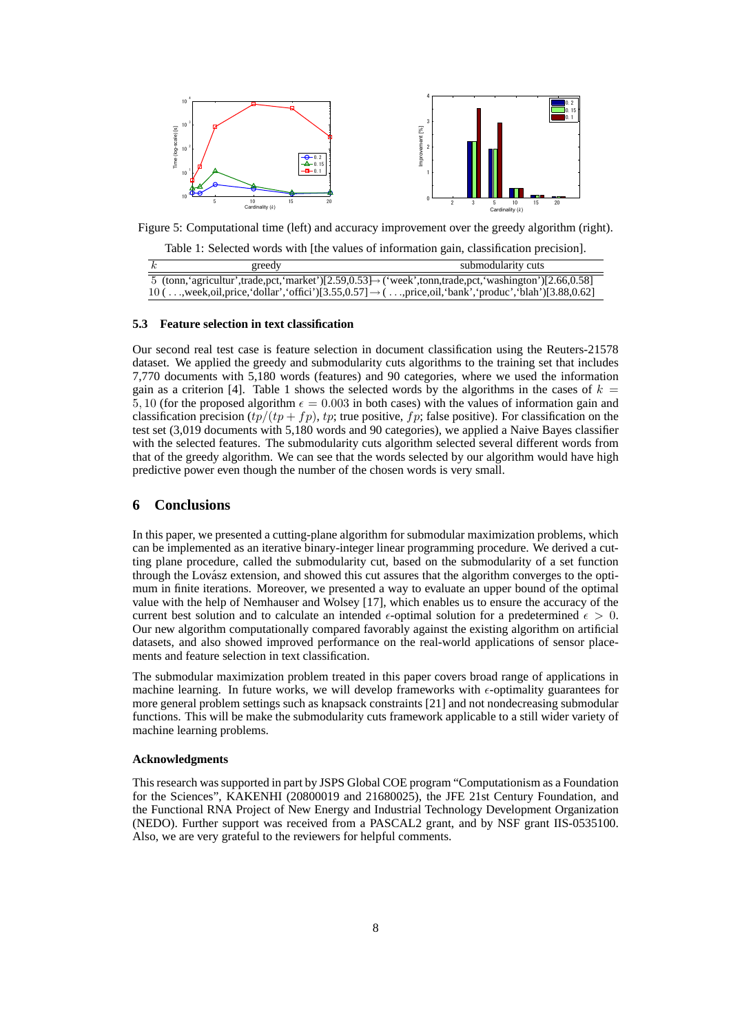

Figure 5: Computational time (left) and accuracy improvement over the greedy algorithm (right).

Table 1: Selected words with [the values of information gain, classification precision].

| greedy | submodularity cuts                                                                                                        |
|--------|---------------------------------------------------------------------------------------------------------------------------|
|        | 5 (tonn, 'agricultur', trade, pct, 'market')[2.59,0.53] $\rightarrow$ ('week', tonn, trade, pct, 'washington')[2.66,0.58] |
|        | $10$ (,week,oil,price,'dollar','offici')[3.55,0.57] $\rightarrow$ (,price,oil,'bank','produc','blah')[3.88,0.62]          |

#### **5.3 Feature selection in text classification**

Our second real test case is feature selection in document classification using the Reuters-21578 dataset. We applied the greedy and submodularity cuts algorithms to the training set that includes 7,770 documents with 5,180 words (features) and 90 categories, where we used the information gain as a criterion [4]. Table 1 shows the selected words by the algorithms in the cases of  $k =$ 5, 10 (for the proposed algorithm  $\epsilon = 0.003$  in both cases) with the values of information gain and classification precision  $(tp/(tp + fp)$ , *tp*; true positive, *fp*; false positive). For classification on the test set (3,019 documents with 5,180 words and 90 categories), we applied a Naive Bayes classifier with the selected features. The submodularity cuts algorithm selected several different words from that of the greedy algorithm. We can see that the words selected by our algorithm would have high predictive power even though the number of the chosen words is very small.

## **6 Conclusions**

In this paper, we presented a cutting-plane algorithm for submodular maximization problems, which can be implemented as an iterative binary-integer linear programming procedure. We derived a cutting plane procedure, called the submodularity cut, based on the submodularity of a set function through the Lovász extension, and showed this cut assures that the algorithm converges to the optimum in finite iterations. Moreover, we presented a way to evaluate an upper bound of the optimal value with the help of Nemhauser and Wolsey [17], which enables us to ensure the accuracy of the current best solution and to calculate an intended  $\epsilon$ -optimal solution for a predetermined  $\epsilon > 0$ . Our new algorithm computationally compared favorably against the existing algorithm on artificial datasets, and also showed improved performance on the real-world applications of sensor placements and feature selection in text classification.

The submodular maximization problem treated in this paper covers broad range of applications in machine learning. In future works, we will develop frameworks with  $\epsilon$ -optimality guarantees for more general problem settings such as knapsack constraints [21] and not nondecreasing submodular functions. This will be make the submodularity cuts framework applicable to a still wider variety of machine learning problems.

#### **Acknowledgments**

This research was supported in part by JSPS Global COE program "Computationism as a Foundation for the Sciences", KAKENHI (20800019 and 21680025), the JFE 21st Century Foundation, and the Functional RNA Project of New Energy and Industrial Technology Development Organization (NEDO). Further support was received from a PASCAL2 grant, and by NSF grant IIS-0535100. Also, we are very grateful to the reviewers for helpful comments.